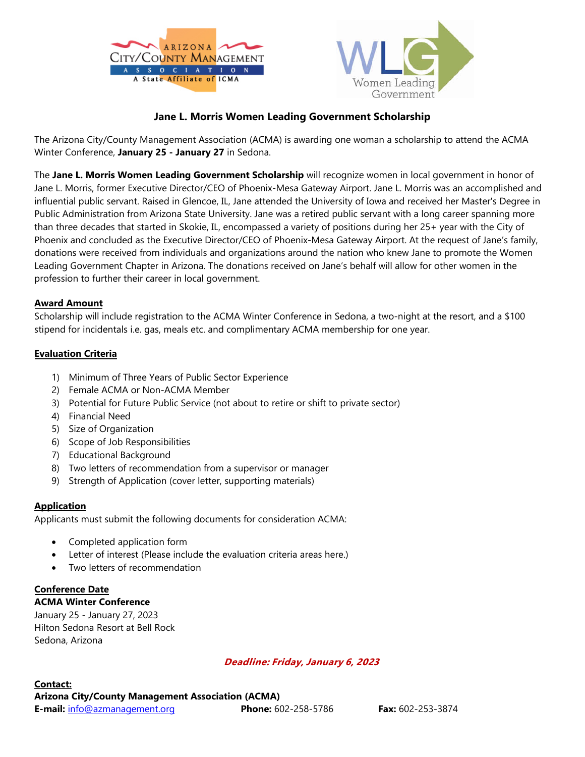



## **Jane L. Morris Women Leading Government Scholarship**

The Arizona City/County Management Association (ACMA) is awarding one woman a scholarship to attend the ACMA Winter Conference, **January 25 - January 27** in Sedona.

The **Jane L. Morris Women Leading Government Scholarship** will recognize women in local government in honor of Jane L. Morris, former Executive Director/CEO of Phoenix-Mesa Gateway Airport. Jane L. Morris was an accomplished and influential public servant. Raised in Glencoe, IL, Jane attended the University of Iowa and received her Master's Degree in Public Administration from Arizona State University. Jane was a retired public servant with a long career spanning more than three decades that started in Skokie, IL, encompassed a variety of positions during her 25+ year with the City of Phoenix and concluded as the Executive Director/CEO of Phoenix-Mesa Gateway Airport. At the request of Jane's family, donations were received from individuals and organizations around the nation who knew Jane to promote the Women Leading Government Chapter in Arizona. The donations received on Jane's behalf will allow for other women in the profession to further their career in local government.

### **Award Amount**

Scholarship will include registration to the ACMA Winter Conference in Sedona, a two-night at the resort, and a \$100 stipend for incidentals i.e. gas, meals etc. and complimentary ACMA membership for one year.

### **Evaluation Criteria**

- 1) Minimum of Three Years of Public Sector Experience
- 2) Female ACMA or Non-ACMA Member
- 3) Potential for Future Public Service (not about to retire or shift to private sector)
- 4) Financial Need
- 5) Size of Organization
- 6) Scope of Job Responsibilities
- 7) Educational Background
- 8) Two letters of recommendation from a supervisor or manager
- 9) Strength of Application (cover letter, supporting materials)

### **Application**

Applicants must submit the following documents for consideration ACMA:

- Completed application form
- Letter of interest (Please include the evaluation criteria areas here.)
- Two letters of recommendation

## **Conference Date**

### **ACMA Winter Conference**

January 25 - January 27, 2023 Hilton Sedona Resort at Bell Rock Sedona, Arizona

### **Deadline: Friday, January 6, 2023**